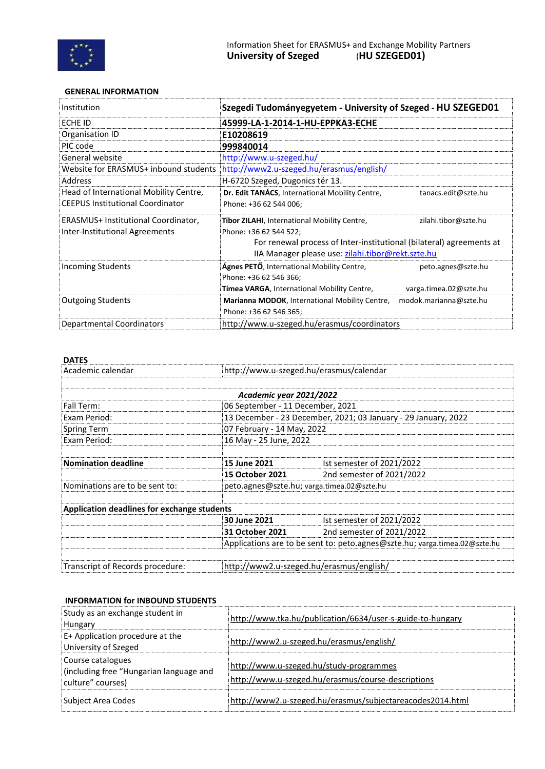

## **GENERAL INFORMATION**

| Institution                             | Szegedi Tudományegyetem - University of Szeged - HU SZEGED01           |                        |  |  |
|-----------------------------------------|------------------------------------------------------------------------|------------------------|--|--|
| ECHE ID                                 | 45999-LA-1-2014-1-HU-EPPKA3-ECHE                                       |                        |  |  |
| Organisation ID                         | E10208619                                                              |                        |  |  |
| PIC code                                | 999840014                                                              |                        |  |  |
| General website                         | http://www.u-szeged.hu/                                                |                        |  |  |
| Website for ERASMUS+ inbound students   | http://www2.u-szeged.hu/erasmus/english/                               |                        |  |  |
| Address                                 | H-6720 Szeged, Dugonics tér 13.                                        |                        |  |  |
| Head of International Mobility Centre,  | Dr. Edit TANÁCS, International Mobility Centre,<br>tanacs.edit@szte.hu |                        |  |  |
| <b>CEEPUS Institutional Coordinator</b> | Phone: +36 62 544 006;                                                 |                        |  |  |
| ERASMUS+ Institutional Coordinator,     | <b>Tibor ZILAHI, International Mobility Centre,</b>                    | zilahi.tibor@szte.hu   |  |  |
| Inter-Institutional Agreements          | Phone: +36 62 544 522;                                                 |                        |  |  |
|                                         | For renewal process of Inter-institutional (bilateral) agreements at   |                        |  |  |
|                                         | IIA Manager please use: zilahi.tibor@rekt.szte.hu                      |                        |  |  |
| <b>Incoming Students</b>                | <b>Ágnes PETŐ</b> , International Mobility Centre,                     | peto.agnes@szte.hu     |  |  |
|                                         | Phone: +36 62 546 366;                                                 |                        |  |  |
|                                         | <b>Tímea VARGA</b> , International Mobility Centre,                    | varga.timea.02@szte.hu |  |  |
| <b>Outgoing Students</b>                | Marianna MODOK, International Mobility Centre,                         | modok.marianna@szte.hu |  |  |
|                                         | Phone: +36 62 546 365;                                                 |                        |  |  |
| Departmental Coordinators               | http://www.u-szeged.hu/erasmus/coordinators                            |                        |  |  |

## **DATES**

| Academic calendar                           |                                                                            | http://www.u-szeged.hu/erasmus/calendar    |  |  |
|---------------------------------------------|----------------------------------------------------------------------------|--------------------------------------------|--|--|
|                                             |                                                                            |                                            |  |  |
|                                             | Academic year 2021/2022                                                    |                                            |  |  |
| Fall Term:                                  | 06 September - 11 December, 2021                                           |                                            |  |  |
| Exam Period:                                | 13 December - 23 December, 2021; 03 January - 29 January, 2022             |                                            |  |  |
| <b>Spring Term</b>                          | 07 February - 14 May, 2022                                                 |                                            |  |  |
| Exam Period:                                | 16 May - 25 June, 2022                                                     |                                            |  |  |
|                                             |                                                                            |                                            |  |  |
| <b>Nomination deadline</b>                  | 15 June 2021                                                               | Ist semester of 2021/2022                  |  |  |
|                                             | <b>15 October 2021</b>                                                     | 2nd semester of 2021/2022                  |  |  |
| Nominations are to be sent to:              |                                                                            | peto.agnes@szte.hu; varga.timea.02@szte.hu |  |  |
|                                             |                                                                            |                                            |  |  |
| Application deadlines for exchange students |                                                                            |                                            |  |  |
|                                             | 30 June 2021                                                               | Ist semester of 2021/2022                  |  |  |
|                                             | 31 October 2021                                                            | 2nd semester of 2021/2022                  |  |  |
|                                             | Applications are to be sent to: peto.agnes@szte.hu; varga.timea.02@szte.hu |                                            |  |  |
|                                             |                                                                            |                                            |  |  |
| Transcript of Records procedure:            | http://www2.u-szeged.hu/erasmus/english/                                   |                                            |  |  |

## **INFORMATION for INBOUND STUDENTS**

| Study as an exchange student in<br>Hungary                                        | http://www.tka.hu/publication/6634/user-s-guide-to-hungary                                    |
|-----------------------------------------------------------------------------------|-----------------------------------------------------------------------------------------------|
| E+ Application procedure at the<br>University of Szeged                           | http://www2.u-szeged.hu/erasmus/english/                                                      |
| Course catalogues<br>(including free "Hungarian language and<br>culture" courses) | http://www.u-szeged.hu/study-programmes<br>http://www.u-szeged.hu/erasmus/course-descriptions |
| Subject Area Codes                                                                | http://www2.u-szeged.hu/erasmus/subjectareacodes2014.html                                     |